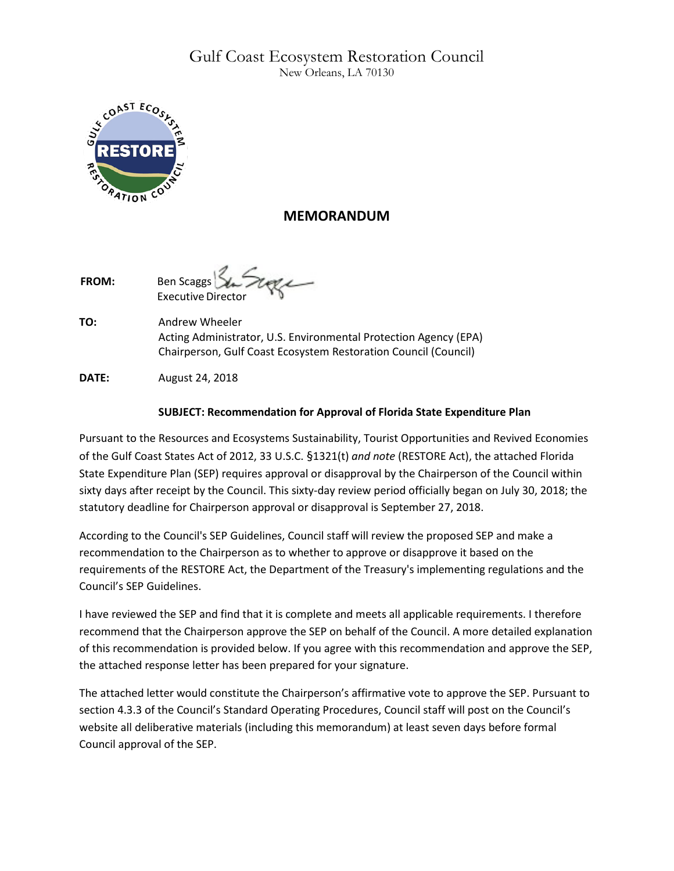# Gulf Coast Ecosystem Restoration Council New Orleans, LA 70130



## **MEMORANDUM**

FROM: Ben Scaggs Executive Directo

**TO:** Andrew Wheeler Acting Administrator, U.S. Environmental Protection Agency (EPA) Chairperson, Gulf Coast Ecosystem Restoration Council (Council)

**DATE:** August 24, 2018

## **SUBJECT: Recommendation for Approval of Florida State Expenditure Plan**

Pursuant to the Resources and Ecosystems Sustainability, Tourist Opportunities and Revived Economies of the Gulf Coast States Act of 2012, 33 U.S.C. §1321(t) *and note* (RESTORE Act), the attached Florida State Expenditure Plan (SEP) requires approval or disapproval by the Chairperson of the Council within sixty days after receipt by the Council. This sixty-day review period officially began on July 30, 2018; the statutory deadline for Chairperson approval or disapproval is September 27, 2018.

According to the Council's SEP Guidelines, Council staff will review the proposed SEP and make a recommendation to the Chairperson as to whether to approve or disapprove it based on the requirements of the RESTORE Act, the Department of the Treasury's implementing regulations and the Council's SEP Guidelines.

I have reviewed the SEP and find that it is complete and meets all applicable requirements. I therefore recommend that the Chairperson approve the SEP on behalf of the Council. A more detailed explanation of this recommendation is provided below. If you agree with this recommendation and approve the SEP, the attached response letter has been prepared for your signature.

The attached letter would constitute the Chairperson's affirmative vote to approve the SEP. Pursuant to section 4.3.3 of the Council's Standard Operating Procedures, Council staff will post on the Council's website all deliberative materials (including this memorandum) at least seven days before formal Council approval of the SEP.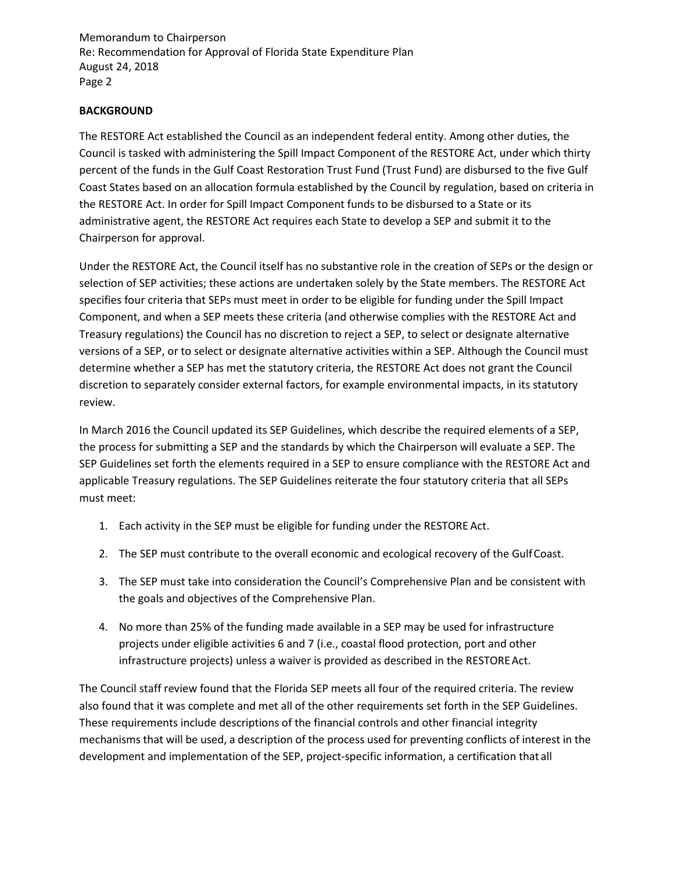Memorandum to Chairperson Re: Recommendation for Approval of Florida State Expenditure Plan August 24, 2018 Page 2

### **BACKGROUND**

The RESTORE Act established the Council as an independent federal entity. Among other duties, the Council is tasked with administering the Spill Impact Component of the RESTORE Act, under which thirty percent of the funds in the Gulf Coast Restoration Trust Fund (Trust Fund) are disbursed to the five Gulf Coast States based on an allocation formula established by the Council by regulation, based on criteria in the RESTORE Act. In order for Spill Impact Component funds to be disbursed to a State or its administrative agent, the RESTORE Act requires each State to develop a SEP and submit it to the Chairperson for approval.

Under the RESTORE Act, the Council itself has no substantive role in the creation of SEPs or the design or selection of SEP activities; these actions are undertaken solely by the State members. The RESTORE Act specifies four criteria that SEPs must meet in order to be eligible for funding under the Spill Impact Component, and when a SEP meets these criteria (and otherwise complies with the RESTORE Act and Treasury regulations) the Council has no discretion to reject a SEP, to select or designate alternative versions of a SEP, or to select or designate alternative activities within a SEP. Although the Council must determine whether a SEP has met the statutory criteria, the RESTORE Act does not grant the Council discretion to separately consider external factors, for example environmental impacts, in its statutory review.

In March 2016 the Council updated its SEP Guidelines, which describe the required elements of a SEP, the process for submitting a SEP and the standards by which the Chairperson will evaluate a SEP. The SEP Guidelines set forth the elements required in a SEP to ensure compliance with the RESTORE Act and applicable Treasury regulations. The SEP Guidelines reiterate the four statutory criteria that all SEPs must meet:

- 1. Each activity in the SEP must be eligible for funding under the RESTORE Act.
- 2. The SEP must contribute to the overall economic and ecological recovery of the GulfCoast.
- 3. The SEP must take into consideration the Council's Comprehensive Plan and be consistent with the goals and objectives of the Comprehensive Plan.
- 4. No more than 25% of the funding made available in a SEP may be used for infrastructure projects under eligible activities 6 and 7 (i.e., coastal flood protection, port and other infrastructure projects) unless a waiver is provided as described in the RESTORE Act.

The Council staff review found that the Florida SEP meets all four of the required criteria. The review also found that it was complete and met all of the other requirements set forth in the SEP Guidelines. These requirements include descriptions of the financial controls and other financial integrity mechanisms that will be used, a description of the process used for preventing conflicts of interest in the development and implementation of the SEP, project-specific information, a certification that all